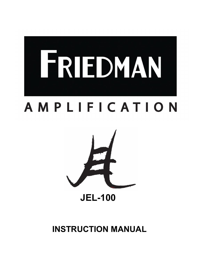

## **AMPLIFICATION**



 **INSTRUCTION MANUAL**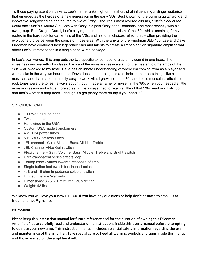To those paying attention, Jake E. Lee's name ranks high on the shortlist of influential gunslinger guitarists that emerged as the heroes of a new generation in the early '80s. Best known for the burning guitar work and innovative songwriting he contributed to two of Ozzy Osbourne's most revered albums, 1983's *Bark at the Moon* and 1986's *Ultimate Sin*. Both with Ozzy, his post-Ozzy band Badlands, and most recently with his own group, Red Dragon Cartel, Lee's playing embraced the athleticism of the '80s while remaining firmly rooted in the hard rock fundamentals of the '70s, and his tonal choices reflect that -- often providing the evolutionary glue between the sonics of those eras. With the arrival of the Friedman JEL-100, Lee and Dave Friedman have combined their legendary ears and talents to create a limited-edition signature amplifier that offers Lee's ultimate tones in a single hand-wired package.

In Lee's own words, "this amp puts the two specific tones I use to create my sound in one head: The sweetness and warmth of a classic Plexi and the more aggressive slant of the master volume amps of the '80s -- all tweaked to my taste. Dave has an innate understanding of where I'm coming from as a player and we're alike in the way we hear tones. Dave doesn't hear things as a technician, he hears things like a musician, and that made him really easy to work with. I grew up in the '70s and those muscular, articulate rock tones were the tones I always sought, but I made a name for myself in the '80s when you needed a little more aggression and a little more scream. I've always tried to retain a little of that '70s heart and I still do, and that's what this amp does -- though it's got plenty more on tap if you need it!"

#### **SPECIFICATIONS**

- 100-Watt all-tube head
- Two channels
- Handwired in the USA
- Custom USA made transformers
- $\bullet$  4 x EL34 power tubes
- 5 x 12AX7 preamp tubes
- JEL channel Gain, Master, Bass, Middle, Treble
- JEL Channel Hi/Lo Gain switch
- Plexi channel Gain, Volume, Bass, Middle, Treble and Bright Switch
- Ultra-transparent series effects loop
- Thump knob varies lowered response of amp
- Single button foot switch for channel selections
- 4, 8 and 16 ohm Impedance selector switch
- Limited Lifetime Warranty
- Dimensions: 8.75" (D) x 29.25" (W) x 12.25" (H)
- Weight: 43 lbs.

We know you will love your new JEL-100. If you have any questions or help don't hesitate to email us at friedmanamps@gmail.com.

#### **INSTRUCTIONS**

Please keep this instruction manual for future reference and for the duration of owning this Friedman Amplifier. Please carefully read and understand the instructions inside this user's manual before attempting to operate your new amp. This instruction manual includes essential safety information regarding the use and maintenance of the amplifier. Take special care to heed all warning symbols and signs inside this manual and those printed on the amplifier itself.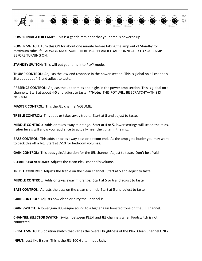

**POWER INDICATOR LAMP:** This is a gentle reminder that your amp is powered up.

**POWER SWITCH:** Turn this ON for about one minute before taking the amp out of Standby for maximum tube life. ALWAYS MAKE SURE THERE IS A SPEAKER LOAD CONNECTED TO YOUR AMP BEFORE TURNING ON.

**STANDBY SWITCH:** This will put your amp into PLAY mode.

**THUMP CONTROL:** Adjusts the low-end response in the power section. This is global on all channels. Start at about 4-5 and adjust to taste.

**PRESENCE CONTROL:** Adjusts the upper mids and highs in the power amp section. This is global on all channels. Start at about 4-5 and adjust to taste. **\*\*Note:** THIS POT WILL BE SCRATCHY—THIS IS NORMAL

**MASTER CONTROL:** This the JEL channel VOLUME.

**TREBLE CONTROL:** This adds or takes away treble. Start at 5 and adjust to taste.

**MIDDLE CONTROL:** Adds or takes away midrange. Start at 4 or 5, lower settings will scoop the mids, higher levels will allow your audience to actually hear the guitar in the mix.

**BASS CONTROL:** This adds or takes away bass or bottom end. As the amp gets louder you may want to back this off a bit. Start at 7-10 for bedroom volumes.

**GAIN CONTROL:** This adds gain/distortion for the JEL channel. Adjust to taste. Don't be afraid

**CLEAN PLEXI VOLUME:** Adjusts the clean Plexi channel's volume.

**TREBLE CONTROL:** Adjusts the treble on the clean channel. Start at 5 and adjust to taste.

**MIDDLE CONTROL:** Adds or takes away midrange. Start at 5 or 6 and adjust to taste.

**BASS CONTROL:** Adjusts the bass on the clean channel. Start at 5 and adjust to taste.

**GAIN CONTROL:** Adjusts how clean or dirty the Channel is.

**GAIN SWITCH:** A lower gain 800-esque sound to a higher gain boosted tone on the JEL channel.

**CHANNEL SELECTOR SWITCH:** Switch between PLEXI and JEL channels when Footswitch is not connected.

**BRIGHT SWITCH:** 3 position switch that varies the overall brightness of the Plexi Clean Channel ONLY.

**INPUT:** Just like it says. This is the JEL-100 Guitar Input Jack.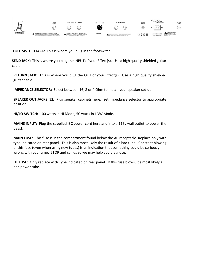

**FOOTSWITCH JACK:** This is where you plug in the footswitch.

**SEND JACK:** This is where you plug the INPUT of your Effect(s). Use a high quality shielded guitar cable.

**RETURN JACK:** This is where you plug the OUT of your Effect(s). Use a high quality shielded guitar cable.

**IMPEDANCE SELECTOR:** Select between 16, 8 or 4 Ohm to match your speaker set-up.

**SPEAKER OUT JACKS (2):** Plug speaker cabinets here. Set Impedance selector to appropriate position.

**HI/LO SWITCH:** 100 watts in HI Mode, 50 watts in LOW Mode.

**MAINS INPUT:** Plug the supplied IEC power cord here and into a 115v wall outlet to power the beast.

**MAIN FUSE:** This fuse is in the compartment found below the AC receptacle. Replace only with type indicated on rear panel. This is also most likely the result of a bad tube. Constant blowing of this fuse (even when using new tubes) is an indication that something could be seriously wrong with your amp. STOP and call us so we may help you diagnose.

**HT FUSE:** Only replace with Type indicated on rear panel. If this fuse blows, it's most likely a bad power tube.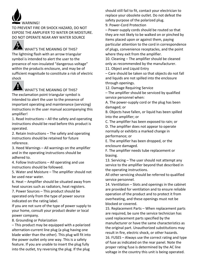

TO PREVENT FIRE OR SHOCK HAZARD, DO NOT EXPOSE THE AMPLIFIER TO WATER OR MOISTURE. DO NOT OPERATE NEAR ANY WATER SOURCE

WHAT'S THE MEANING OF THIS? The lightning flash with an arrow triangular symbol is intended to alert the user to the presence of non-insulated "dangerous voltage" within the products enclosure, and may be of sufficient magnitude to constitute a risk of electric shock



## WHAT'S THE MEANING OF THIS?

The exclamation point triangular symbol is intended to alert the user to the presence of important operating and maintenance (servicing) instructions in the user manual accompanying this amplifier!

1. Read Instructions – All the safety and operating instructions should be read before this product is operated.

2. Retain Instructions – The safety and operating instructions should be retained for future reference.

3. Heed Warnings – All warnings on the amplifier and in the operating instructions should be adhered to.

4. Follow Instructions – All operating and use instructions should be followed.

5. Water and Moisture – The amplifier should not be used near water.

6. Heat – Amplifier should be situated away from heat sources such as radiators, heat registers.

7. Power Sources – This product should be operated only from the type of power source indicated on the rating label.

If you are not sure of the type of power supply to your home, consult your product dealer or local power company.

8. Grounding or Polarization

– This product may be equipped with a polarized alternation-current line plug (a plug having one blade wider than the other). This plug will fit into the power outlet only one way. This is a safety feature. If you are unable to insert the plug fully into the outlet, try reversing the plug. If the plug

should still fail to fit, contact your electrician to replace your obsolete outlet. Do not defeat the safety purpose of the polarized plug.

9. Power-Cord Protection

– Power-supply cords should be routed so that they are not likely to be walked on or pinched by items placed upon or against them, paying particular attention to the cord in correspondence of plugs, convenience receptacles, and the point where they exit from the amplifier.

10. Cleaning – The amplifier should be cleaned only as recommended by the manufacturer.

11. Object and Liquid Entry

– Care should be taken so that objects do not fall and liquids are not spilled into the enclosure through openings.

12. Damage Requiring Service

– The amplifier should be serviced by qualified service personnel when:

A. The power-supply cord or the plug has been damaged; or

B. Objects have fallen, or liquid has been spilled into the amplifier; or

C. The amplifier has been exposed to rain; or D. The amplifier does not appear to operate normally or exhibits a marked change in performance; or

E. The amplifier has been dropped, or the enclosure damaged.

F. The amplifier needs tube replacement or biasing.

13. Servicing – The user should not attempt any service to the amplifier beyond that described in the operating instructions.

All other servicing should be referred to qualified service personnel.

14. Ventilation – Slots and openings in the cabinet are provided for ventilation and to ensure reliable operation of the product and to protect it from overheating, and these openings must not be blocked or covered.

15. Replacement Parts – When replacement parts are required, be sure the service technician has used replacement parts specified by the manufacturer or have the same characteristics as the original part. Unauthorized substitutions may result in fire, electric shock, or other hazards. 16. FUSES – Always use the correct rating and type of fuse as indicated on the rear panel. Note the proper rating fuse is determined by the AC line voltage in the country this unit is being operated.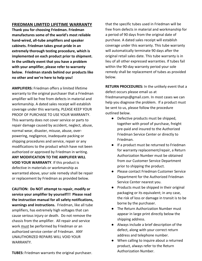### **FRIEDMAN LIMITED LIFETIME WARRANTY**

**Thank you for choosing Friedman. Friedman manufactures some of the world's most reliable hand-wired, all-tube amplifiers and speaker cabinets. Friedman takes great pride in an extremely thorough testing procedure, which is implemented on each product prior to shipment. In the unlikely event that you have a problem with your amplifier, please refer to warranty below. Friedman stands behind our products like no other and we're here to help you!**

**AMPLIFIERS:** Friedman offers a limited lifetime warranty to the original purchaser that a Friedman amplifier will be free from defects in material and workmanship. A dated sales receipt will establish coverage under this warranty, PLEASE KEEP YOUR PROOF OF PURCHASE TO USE YOUR WARRANTY. This warranty does not cover service or parts to repair damage caused by accident, neglect, abuse, normal wear, disaster, misuse, abuse, overpowering, negligence, inadequate packing or shipping procedures and service, repair or any modifications to the product which have not been authorized or approved by Friedman in writing. **ANY MODIFICATION TO THE AMPLIFIER WILL VOID YOUR WARRANTY**. If this product is defective in materials or workmanship as warranted above, your sole remedy shall be repair or replacement by Friedman as provided below.

**CAUTION: Do NOT attempt to repair, modify or service your amplifier by yourself!!! Please read the instruction manual for all safety notifications, warnings and instructions.** Friedman, like all tube amplifiers, has extremely high voltages that can cause serious injury or death. Do not remove the chassis from the amplifier. All repair and service work must be performed by Friedman or an authorized service center of Friedman. ANY UNAUTHORIZED REPAIRS WILL VOID YOUR WARRANTY.

**TUBES:** Friedman warrants the original purchaser.

that the specific tubes used in Friedman will be free from defects in material and workmanship for a period of 90 days from the original date of purchase. A dated sales receipt will establish coverage under this warranty. This tube warranty will automatically terminate 90 days after the original retail sales date. This tube warranty is in lieu of all other expressed warranties. If tubes fail within the 90-day warranty period your sole remedy shall be replacement of tubes as provided below.

**RETURN PROCEDURES:** In the unlikely event that a defect occurs please email us at friedmanamps@gmail.com. In most cases we can help you diagnose the problem. If a product must be sent to us, please follow the procedure outlined below.

- Defective products must be shipped, together with proof of purchase, freight pre-paid and insured to the Authorized Friedman Service Center or directly to Friedman.
- If a product must be returned to Friedman for warranty replacement/repair, a Return Authorization Number must be obtained from our Customer Service Department prior to shipping the product.
- Please contact Friedman Customer Service Department for the Authorized Friedman Service Center nearest you.
- Products must be shipped in their original packaging or its equivalent; in any case, the risk of loss or damage in transit is to be borne by the purchaser.
- The Return Authorization Number must appear in large print directly below the shipping address.
- Always include a brief description of the defect, along with your correct return address and telephone number.
- When calling to inquire about a returned product, always refer to the Return Authorization Number.